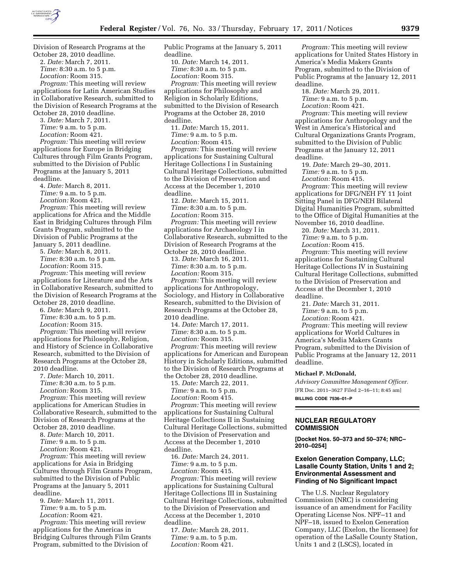

Division of Research Programs at the October 28, 2010 deadline. 2. *Date:* March 7, 2011. *Time:* 8:30 a.m. to 5 p.m. *Location:* Room 315. *Program:* This meeting will review applications for Latin American Studies in Collaborative Research, submitted to the Division of Research Programs at the October 28, 2010 deadline. 3. *Date:* March 7, 2011. *Time:* 9 a.m. to 5 p.m. *Location:* Room 421. *Program:* This meeting will review applications for Europe in Bridging Cultures through Film Grants Program, submitted to the Division of Public Programs at the January 5, 2011 deadline. 4. *Date:* March 8, 2011. *Time:* 9 a.m. to 5 p.m. *Location:* Room 421. *Program:* This meeting will review applications for Africa and the Middle East in Bridging Cultures through Film Grants Program, submitted to the Division of Public Programs at the January 5, 2011 deadline. 5. *Date:* March 8, 2011. *Time:* 8:30 a.m. to 5 p.m. *Location:* Room 315. *Program:* This meeting will review applications for Literature and the Arts in Collaborative Research, submitted to the Division of Research Programs at the October 28, 2010 deadline. 6. *Date:* March 9, 2011. *Time:* 8:30 a.m. to 5 p.m. *Location:* Room 315. *Program:* This meeting will review applications for Philosophy, Religion, and History of Science in Collaborative Research, submitted to the Division of Research Programs at the October 28, 2010 deadline. 7. *Date:* March 10, 2011. *Time:* 8:30 a.m. to 5 p.m. *Location:* Room 315. *Program:* This meeting will review applications for American Studies in Collaborative Research, submitted to the Division of Research Programs at the October 28, 2010 deadline. 8. *Date:* March 10, 2011. *Time:* 9 a.m. to 5 p.m. *Location:* Room 421. *Program:* This meeting will review applications for Asia in Bridging Cultures through Film Grants Program, submitted to the Division of Public Programs at the January 5, 2011 deadline. 9. *Date:* March 11, 2011. *Time:* 9 a.m. to 5 p.m. *Location:* Room 421. *Program:* This meeting will review applications for the Americas in

Bridging Cultures through Film Grants Program, submitted to the Division of

Public Programs at the January 5, 2011 deadline. 10. *Date:* March 14, 2011. *Time:* 8:30 a.m. to 5 p.m. *Location:* Room 315. *Program:* This meeting will review applications for Philosophy and Religion in Scholarly Editions, submitted to the Division of Research Programs at the October 28, 2010 deadline. 11. *Date:* March 15, 2011. *Time:* 9 a.m. to 5 p.m. *Location:* Room 415. *Program:* This meeting will review applications for Sustaining Cultural Heritage Collections I in Sustaining Cultural Heritage Collections, submitted to the Division of Preservation and Access at the December 1, 2010 deadline. 12. *Date:* March 15, 2011. *Time:* 8:30 a.m. to 5 p.m. *Location:* Room 315. *Program:* This meeting will review applications for Archaeology I in Collaborative Research, submitted to the Division of Research Programs at the October 28, 2010 deadline. 13. *Date:* March 16, 2011. *Time:* 8:30 a.m. to 5 p.m. *Location:* Room 315. *Program:* This meeting will review applications for Anthropology, Sociology, and History in Collaborative Research, submitted to the Division of Research Programs at the October 28, 2010 deadline. 14. *Date:* March 17, 2011. *Time:* 8:30 a.m. to 5 p.m. *Location:* Room 315. *Program:* This meeting will review applications for American and European History in Scholarly Editions, submitted to the Division of Research Programs at the October 28, 2010 deadline. 15. *Date:* March 22, 2011. *Time:* 9 a.m. to 5 p.m. *Location:* Room 415. *Program:* This meeting will review applications for Sustaining Cultural Heritage Collections II in Sustaining Cultural Heritage Collections, submitted to the Division of Preservation and Access at the December 1, 2010 deadline. 16. *Date:* March 24, 2011. *Time:* 9 a.m. to 5 p.m. *Location:* Room 415. *Program:* This meeting will review applications for Sustaining Cultural Heritage Collections III in Sustaining Cultural Heritage Collections, submitted to the Division of Preservation and Access at the December 1, 2010 deadline. 17. *Date:* March 28, 2011. *Time:* 9 a.m. to 5 p.m.

*Location:* Room 421.

applications for United States History in America's Media Makers Grants Program, submitted to the Division of Public Programs at the January 12, 2011 deadline. 18. *Date:* March 29, 2011. *Time:* 9 a.m. to 5 p.m. *Location:* Room 421. *Program:* This meeting will review applications for Anthropology and the West in America's Historical and Cultural Organizations Grants Program, submitted to the Division of Public Programs at the January 12, 2011 deadline. 19. *Date:* March 29–30, 2011. *Time:* 9 a.m. to 5 p.m. *Location:* Room 415. *Program:* This meeting will review applications for DFG/NEH FY 11 Joint Sitting Panel in DFG/NEH Bilateral Digital Humanities Program, submitted to the Office of Digital Humanities at the November 16, 2010 deadline. 20. *Date:* March 31, 2011. *Time:* 9 a.m. to 5 p.m. *Location:* Room 415. *Program:* This meeting will review applications for Sustaining Cultural Heritage Collections IV in Sustaining Cultural Heritage Collections, submitted to the Division of Preservation and Access at the December 1, 2010 deadline. 21. *Date:* March 31, 2011. *Time:* 9 a.m. to 5 p.m. *Location:* Room 421. *Program:* This meeting will review applications for World Cultures in America's Media Makers Grants Program, submitted to the Division of Public Programs at the January 12, 2011 deadline. **Michael P. McDonald,** 

*Program:* This meeting will review

*Advisory Committee Management Officer.*  [FR Doc. 2011–3627 Filed 2–16–11; 8:45 am] **BILLING CODE 7536–01–P** 

# **NUCLEAR REGULATORY COMMISSION**

**[Docket Nos. 50–373 and 50–374; NRC– 2010–0254]** 

# **Exelon Generation Company, LLC; Lasalle County Station, Units 1 and 2; Environmental Assessment and Finding of No Significant Impact**

The U.S. Nuclear Regulatory Commission (NRC) is considering issuance of an amendment for Facility Operating License Nos. NPF–11 and NPF–18, issued to Exelon Generation Company, LLC (Exelon, the licensee) for operation of the LaSalle County Station, Units 1 and 2 (LSCS), located in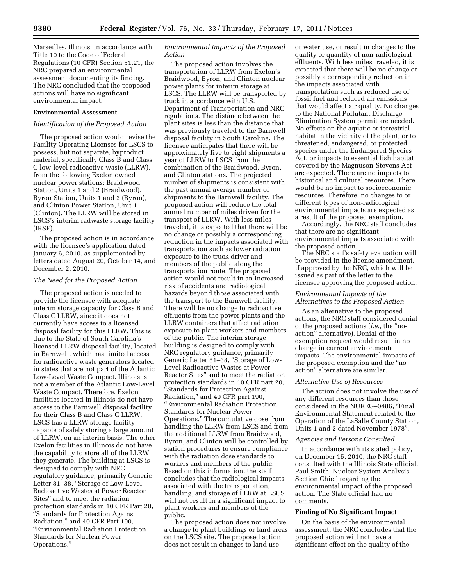Marseilles, Illinois. In accordance with Title 10 to the Code of Federal Regulations (10 CFR) Section 51.21, the NRC prepared an environmental assessment documenting its finding. The NRC concluded that the proposed actions will have no significant environmental impact.

### **Environmental Assessment**

### *Identification of the Proposed Action*

The proposed action would revise the Facility Operating Licenses for LSCS to possess, but not separate, byproduct material, specifically Class B and Class C low-level radioactive waste (LLRW), from the following Exelon owned nuclear power stations: Braidwood Station, Units 1 and 2 (Braidwood), Byron Station, Units 1 and 2 (Byron), and Clinton Power Station, Unit 1 (Clinton). The LLRW will be stored in LSCS's interim radwaste storage facility (IRSF).

The proposed action is in accordance with the licensee's application dated January 6, 2010, as supplemented by letters dated August 20, October 14, and December 2, 2010.

#### *The Need for the Proposed Action*

The proposed action is needed to provide the licensee with adequate interim storage capacity for Class B and Class C LLRW, since it does not currently have access to a licensed disposal facility for this LLRW. This is due to the State of South Carolina's licensed LLRW disposal facility, located in Barnwell, which has limited access for radioactive waste generators located in states that are not part of the Atlantic Low-Level Waste Compact. Illinois is not a member of the Atlantic Low-Level Waste Compact. Therefore, Exelon facilities located in Illinois do not have access to the Barnwell disposal facility for their Class B and Class C LLRW. LSCS has a LLRW storage facility capable of safely storing a large amount of LLRW, on an interim basis. The other Exelon facilities in Illinois do not have the capability to store all of the LLRW they generate. The building at LSCS is designed to comply with NRC regulatory guidance, primarily Generic Letter 81–38, ''Storage of Low-Level Radioactive Wastes at Power Reactor Sites'' and to meet the radiation protection standards in 10 CFR Part 20, ''Standards for Protection Against Radiation,'' and 40 CFR Part 190, ''Environmental Radiation Protection Standards for Nuclear Power Operations.''

## *Environmental Impacts of the Proposed Action*

The proposed action involves the transportation of LLRW from Exelon's Braidwood, Byron, and Clinton nuclear power plants for interim storage at LSCS. The LLRW will be transported by truck in accordance with U.S. Department of Transportation and NRC regulations. The distance between the plant sites is less than the distance that was previously traveled to the Barnwell disposal facility in South Carolina. The licensee anticipates that there will be approximately five to eight shipments a year of LLRW to LSCS from the combination of the Braidwood, Byron, and Clinton stations. The projected number of shipments is consistent with the past annual average number of shipments to the Barnwell facility. The proposed action will reduce the total annual number of miles driven for the transport of LLRW. With less miles traveled, it is expected that there will be no change or possibly a corresponding reduction in the impacts associated with transportation such as lower radiation exposure to the truck driver and members of the public along the transportation route. The proposed action would not result in an increased risk of accidents and radiological hazards beyond those associated with the transport to the Barnwell facility. There will be no change to radioactive effluents from the power plants and the LLRW containers that affect radiation exposure to plant workers and members of the public. The interim storage building is designed to comply with NRC regulatory guidance, primarily Generic Letter 81–38, ''Storage of Low-Level Radioactive Wastes at Power Reactor Sites'' and to meet the radiation protection standards in 10 CFR part 20, ''Standards for Protection Against Radiation,'' and 40 CFR part 190, ''Environmental Radiation Protection Standards for Nuclear Power Operations.'' The cumulative dose from handling the LLRW from LSCS and from the additional LLRW from Braidwood, Byron, and Clinton will be controlled by station procedures to ensure compliance with the radiation dose standards to workers and members of the public. Based on this information, the staff concludes that the radiological impacts associated with the transportation, handling, and storage of LLRW at LSCS will not result in a significant impact to plant workers and members of the public.

The proposed action does not involve a change to plant buildings or land areas on the LSCS site. The proposed action does not result in changes to land use

or water use, or result in changes to the quality or quantity of non-radiological effluents. With less miles traveled, it is expected that there will be no change or possibly a corresponding reduction in the impacts associated with transportation such as reduced use of fossil fuel and reduced air emissions that would affect air quality. No changes to the National Pollutant Discharge Elimination System permit are needed. No effects on the aquatic or terrestrial habitat in the vicinity of the plant, or to threatened, endangered, or protected species under the Endangered Species Act, or impacts to essential fish habitat covered by the Magnuson-Stevens Act are expected. There are no impacts to historical and cultural resources. There would be no impact to socioeconomic resources. Therefore, no changes to or different types of non-radiological environmental impacts are expected as a result of the proposed exemption.

Accordingly, the NRC staff concludes that there are no significant environmental impacts associated with the proposed action.

The NRC staff's safety evaluation will be provided in the license amendment, if approved by the NRC, which will be issued as part of the letter to the licensee approving the proposed action.

## *Environmental Impacts of the Alternatives to the Proposed Action*

As an alternative to the proposed actions, the NRC staff considered denial of the proposed actions (*i.e.,* the ''noaction'' alternative). Denial of the exemption request would result in no change in current environmental impacts. The environmental impacts of the proposed exemption and the ''no action'' alternative are similar.

#### *Alternative Use of Resources*

The action does not involve the use of any different resources than those considered in the NUREG–0486, ''Final Environmental Statement related to the Operation of the LaSalle County Station, Units 1 and 2 dated November 1978''.

# *Agencies and Persons Consulted*

In accordance with its stated policy, on December 15, 2010, the NRC staff consulted with the Illinois State official, Paul Smith, Nuclear System Analysis Section Chief, regarding the environmental impact of the proposed action. The State official had no comments.

# **Finding of No Significant Impact**

On the basis of the environmental assessment, the NRC concludes that the proposed action will not have a significant effect on the quality of the